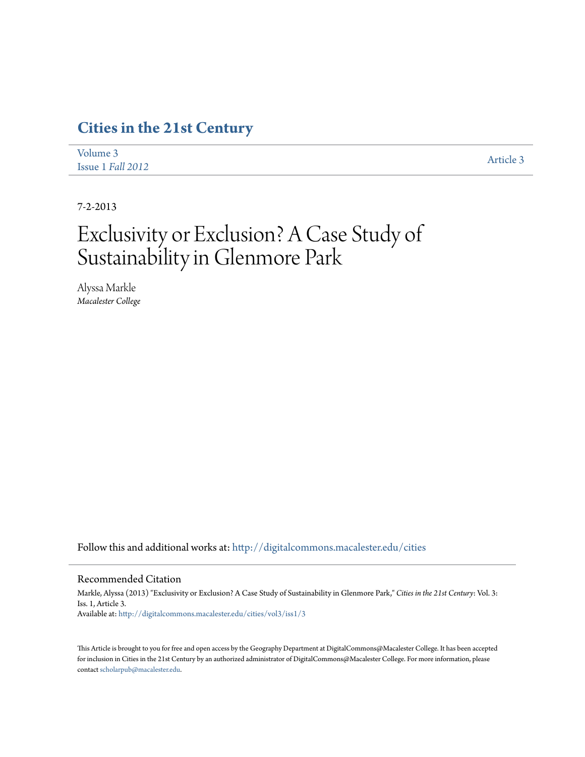# **[Cities in the 21st Century](http://digitalcommons.macalester.edu/cities?utm_source=digitalcommons.macalester.edu%2Fcities%2Fvol3%2Fiss1%2F3&utm_medium=PDF&utm_campaign=PDFCoverPages)**

| Volume 3          | Article 3 |
|-------------------|-----------|
| Issue 1 Fall 2012 |           |

7-2-2013

# Exclusivity or Exclusion? A Case Study of Sustainability in Glenmore Park

Alyssa Markle *Macalester College*

Follow this and additional works at: [http://digitalcommons.macalester.edu/cities](http://digitalcommons.macalester.edu/cities?utm_source=digitalcommons.macalester.edu%2Fcities%2Fvol3%2Fiss1%2F3&utm_medium=PDF&utm_campaign=PDFCoverPages)

#### Recommended Citation

Markle, Alyssa (2013) "Exclusivity or Exclusion? A Case Study of Sustainability in Glenmore Park," *Cities in the 21st Century*: Vol. 3: Iss. 1, Article 3. Available at: [http://digitalcommons.macalester.edu/cities/vol3/iss1/3](http://digitalcommons.macalester.edu/cities/vol3/iss1/3?utm_source=digitalcommons.macalester.edu%2Fcities%2Fvol3%2Fiss1%2F3&utm_medium=PDF&utm_campaign=PDFCoverPages)

This Article is brought to you for free and open access by the Geography Department at DigitalCommons@Macalester College. It has been accepted for inclusion in Cities in the 21st Century by an authorized administrator of DigitalCommons@Macalester College. For more information, please contact [scholarpub@macalester.edu.](mailto:scholarpub@macalester.edu)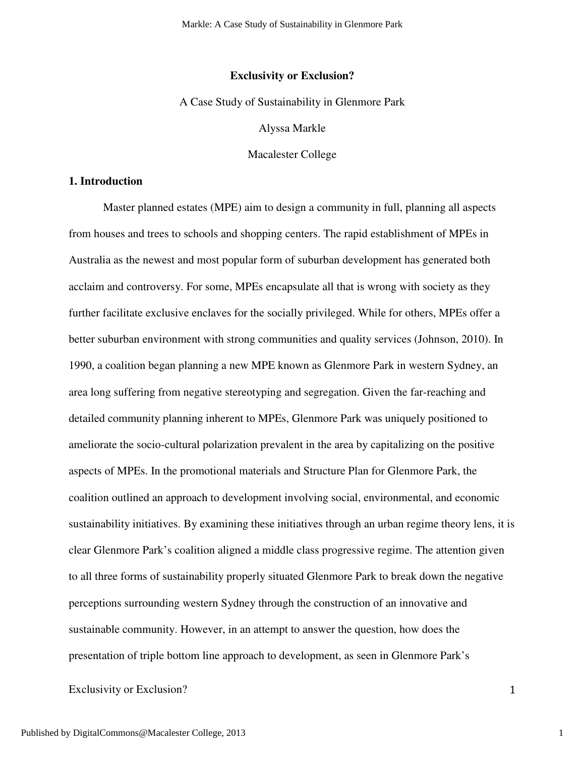Markle: A Case Study of Sustainability in Glenmore Park

### **Exclusivity or Exclusion?**

### A Case Study of Sustainability in Glenmore Park

Alyssa Markle

Macalester College

# **1. Introduction**

Master planned estates (MPE) aim to design a community in full, planning all aspects from houses and trees to schools and shopping centers. The rapid establishment of MPEs in Australia as the newest and most popular form of suburban development has generated both acclaim and controversy. For some, MPEs encapsulate all that is wrong with society as they further facilitate exclusive enclaves for the socially privileged. While for others, MPEs offer a better suburban environment with strong communities and quality services (Johnson, 2010). In 1990, a coalition began planning a new MPE known as Glenmore Park in western Sydney, an area long suffering from negative stereotyping and segregation. Given the far-reaching and detailed community planning inherent to MPEs, Glenmore Park was uniquely positioned to ameliorate the socio-cultural polarization prevalent in the area by capitalizing on the positive aspects of MPEs. In the promotional materials and Structure Plan for Glenmore Park, the coalition outlined an approach to development involving social, environmental, and economic sustainability initiatives. By examining these initiatives through an urban regime theory lens, it is clear Glenmore Park's coalition aligned a middle class progressive regime. The attention given to all three forms of sustainability properly situated Glenmore Park to break down the negative perceptions surrounding western Sydney through the construction of an innovative and sustainable community. However, in an attempt to answer the question, how does the presentation of triple bottom line approach to development, as seen in Glenmore Park's

Exclusivity or Exclusion? 1

1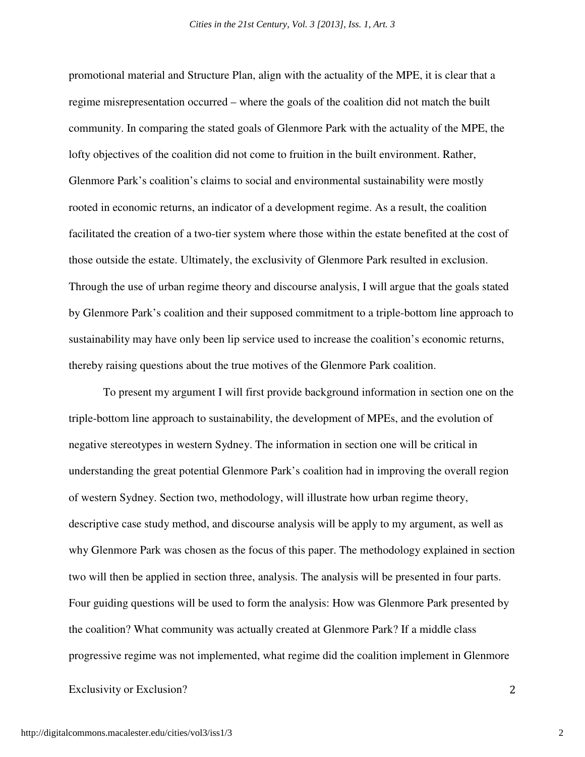promotional material and Structure Plan, align with the actuality of the MPE, it is clear that a regime misrepresentation occurred – where the goals of the coalition did not match the built community. In comparing the stated goals of Glenmore Park with the actuality of the MPE, the lofty objectives of the coalition did not come to fruition in the built environment. Rather, Glenmore Park's coalition's claims to social and environmental sustainability were mostly rooted in economic returns, an indicator of a development regime. As a result, the coalition facilitated the creation of a two-tier system where those within the estate benefited at the cost of those outside the estate. Ultimately, the exclusivity of Glenmore Park resulted in exclusion. Through the use of urban regime theory and discourse analysis, I will argue that the goals stated by Glenmore Park's coalition and their supposed commitment to a triple-bottom line approach to sustainability may have only been lip service used to increase the coalition's economic returns, thereby raising questions about the true motives of the Glenmore Park coalition.

To present my argument I will first provide background information in section one on the triple-bottom line approach to sustainability, the development of MPEs, and the evolution of negative stereotypes in western Sydney. The information in section one will be critical in understanding the great potential Glenmore Park's coalition had in improving the overall region of western Sydney. Section two, methodology, will illustrate how urban regime theory, descriptive case study method, and discourse analysis will be apply to my argument, as well as why Glenmore Park was chosen as the focus of this paper. The methodology explained in section two will then be applied in section three, analysis. The analysis will be presented in four parts. Four guiding questions will be used to form the analysis: How was Glenmore Park presented by the coalition? What community was actually created at Glenmore Park? If a middle class progressive regime was not implemented, what regime did the coalition implement in Glenmore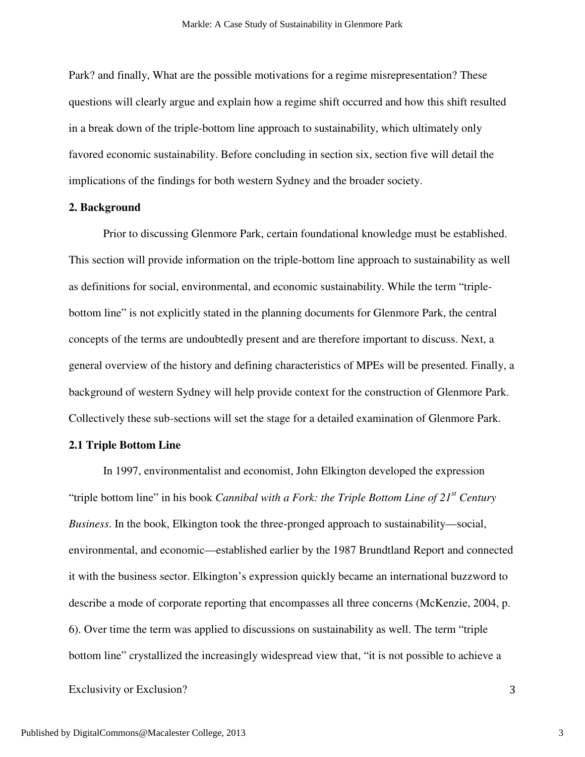Park? and finally, What are the possible motivations for a regime misrepresentation? These questions will clearly argue and explain how a regime shift occurred and how this shift resulted in a break down of the triple-bottom line approach to sustainability, which ultimately only favored economic sustainability. Before concluding in section six, section five will detail the implications of the findings for both western Sydney and the broader society.

### **2. Background**

 Prior to discussing Glenmore Park, certain foundational knowledge must be established. This section will provide information on the triple-bottom line approach to sustainability as well as definitions for social, environmental, and economic sustainability. While the term "triplebottom line" is not explicitly stated in the planning documents for Glenmore Park, the central concepts of the terms are undoubtedly present and are therefore important to discuss. Next, a general overview of the history and defining characteristics of MPEs will be presented. Finally, a background of western Sydney will help provide context for the construction of Glenmore Park. Collectively these sub-sections will set the stage for a detailed examination of Glenmore Park.

### **2.1 Triple Bottom Line**

In 1997, environmentalist and economist, John Elkington developed the expression "triple bottom line" in his book *Cannibal with a Fork: the Triple Bottom Line of 21st Century Business*. In the book, Elkington took the three-pronged approach to sustainability—social, environmental, and economic—established earlier by the 1987 Brundtland Report and connected it with the business sector. Elkington's expression quickly became an international buzzword to describe a mode of corporate reporting that encompasses all three concerns (McKenzie, 2004, p. 6). Over time the term was applied to discussions on sustainability as well. The term "triple bottom line" crystallized the increasingly widespread view that, "it is not possible to achieve a

#### Exclusivity or Exclusion? 3

3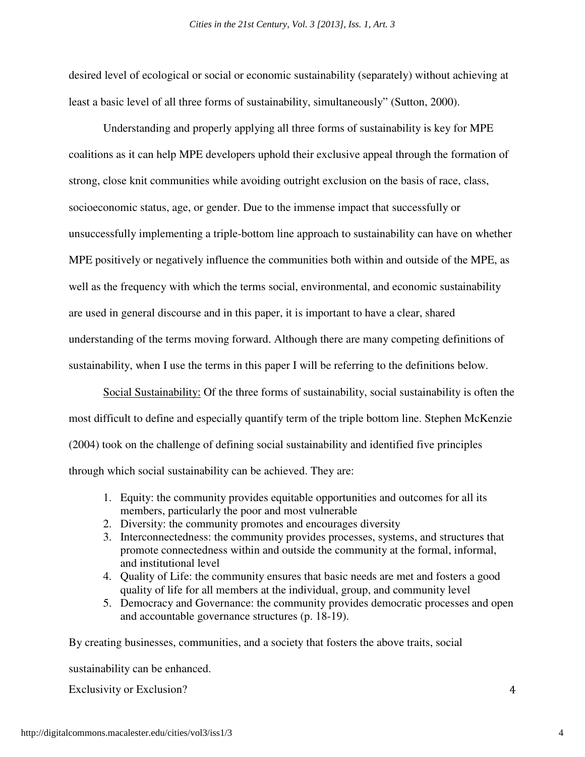desired level of ecological or social or economic sustainability (separately) without achieving at least a basic level of all three forms of sustainability, simultaneously" (Sutton, 2000).

 Understanding and properly applying all three forms of sustainability is key for MPE coalitions as it can help MPE developers uphold their exclusive appeal through the formation of strong, close knit communities while avoiding outright exclusion on the basis of race, class, socioeconomic status, age, or gender. Due to the immense impact that successfully or unsuccessfully implementing a triple-bottom line approach to sustainability can have on whether MPE positively or negatively influence the communities both within and outside of the MPE, as well as the frequency with which the terms social, environmental, and economic sustainability are used in general discourse and in this paper, it is important to have a clear, shared understanding of the terms moving forward. Although there are many competing definitions of sustainability, when I use the terms in this paper I will be referring to the definitions below.

Social Sustainability: Of the three forms of sustainability, social sustainability is often the most difficult to define and especially quantify term of the triple bottom line. Stephen McKenzie (2004) took on the challenge of defining social sustainability and identified five principles through which social sustainability can be achieved. They are:

- 1. Equity: the community provides equitable opportunities and outcomes for all its members, particularly the poor and most vulnerable
- 2. Diversity: the community promotes and encourages diversity
- 3. Interconnectedness: the community provides processes, systems, and structures that promote connectedness within and outside the community at the formal, informal, and institutional level
- 4. Quality of Life: the community ensures that basic needs are met and fosters a good quality of life for all members at the individual, group, and community level
- 5. Democracy and Governance: the community provides democratic processes and open and accountable governance structures (p. 18-19).

By creating businesses, communities, and a society that fosters the above traits, social

sustainability can be enhanced.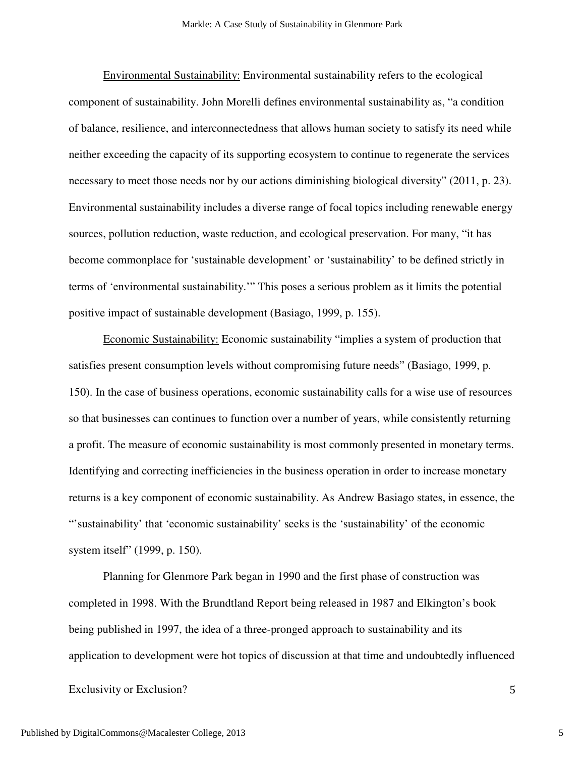Environmental Sustainability: Environmental sustainability refers to the ecological component of sustainability. John Morelli defines environmental sustainability as, "a condition of balance, resilience, and interconnectedness that allows human society to satisfy its need while neither exceeding the capacity of its supporting ecosystem to continue to regenerate the services necessary to meet those needs nor by our actions diminishing biological diversity" (2011, p. 23). Environmental sustainability includes a diverse range of focal topics including renewable energy sources, pollution reduction, waste reduction, and ecological preservation. For many, "it has become commonplace for 'sustainable development' or 'sustainability' to be defined strictly in terms of 'environmental sustainability.'" This poses a serious problem as it limits the potential positive impact of sustainable development (Basiago, 1999, p. 155).

 Economic Sustainability: Economic sustainability "implies a system of production that satisfies present consumption levels without compromising future needs" (Basiago, 1999, p. 150). In the case of business operations, economic sustainability calls for a wise use of resources so that businesses can continues to function over a number of years, while consistently returning a profit. The measure of economic sustainability is most commonly presented in monetary terms. Identifying and correcting inefficiencies in the business operation in order to increase monetary returns is a key component of economic sustainability. As Andrew Basiago states, in essence, the "'sustainability' that 'economic sustainability' seeks is the 'sustainability' of the economic system itself" (1999, p. 150).

 Planning for Glenmore Park began in 1990 and the first phase of construction was completed in 1998. With the Brundtland Report being released in 1987 and Elkington's book being published in 1997, the idea of a three-pronged approach to sustainability and its application to development were hot topics of discussion at that time and undoubtedly influenced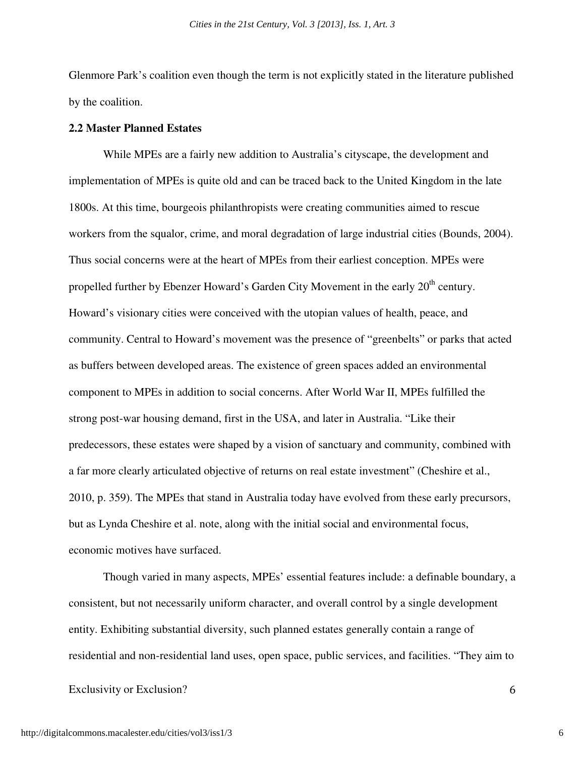Glenmore Park's coalition even though the term is not explicitly stated in the literature published by the coalition.

# **2.2 Master Planned Estates**

While MPEs are a fairly new addition to Australia's cityscape, the development and implementation of MPEs is quite old and can be traced back to the United Kingdom in the late 1800s. At this time, bourgeois philanthropists were creating communities aimed to rescue workers from the squalor, crime, and moral degradation of large industrial cities (Bounds, 2004). Thus social concerns were at the heart of MPEs from their earliest conception. MPEs were propelled further by Ebenzer Howard's Garden City Movement in the early  $20<sup>th</sup>$  century. Howard's visionary cities were conceived with the utopian values of health, peace, and community. Central to Howard's movement was the presence of "greenbelts" or parks that acted as buffers between developed areas. The existence of green spaces added an environmental component to MPEs in addition to social concerns. After World War II, MPEs fulfilled the strong post-war housing demand, first in the USA, and later in Australia. "Like their predecessors, these estates were shaped by a vision of sanctuary and community, combined with a far more clearly articulated objective of returns on real estate investment" (Cheshire et al., 2010, p. 359). The MPEs that stand in Australia today have evolved from these early precursors, but as Lynda Cheshire et al. note, along with the initial social and environmental focus, economic motives have surfaced.

Though varied in many aspects, MPEs' essential features include: a definable boundary, a consistent, but not necessarily uniform character, and overall control by a single development entity. Exhibiting substantial diversity, such planned estates generally contain a range of residential and non-residential land uses, open space, public services, and facilities. "They aim to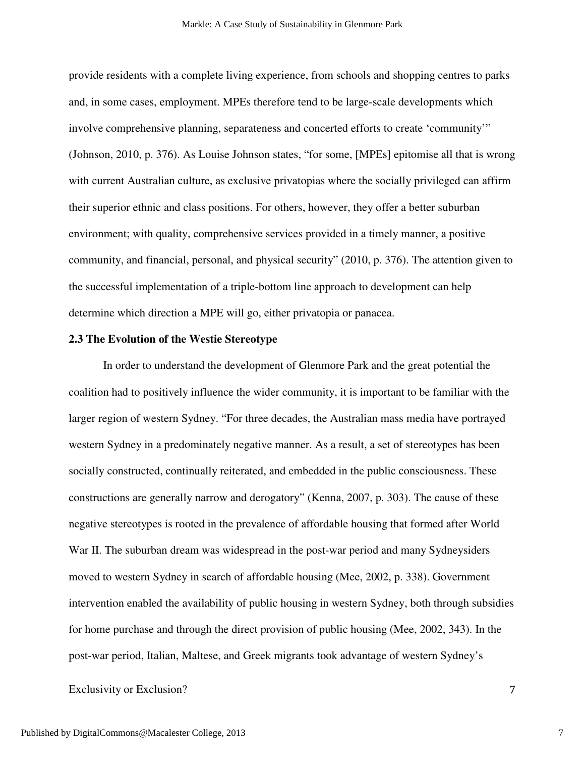provide residents with a complete living experience, from schools and shopping centres to parks and, in some cases, employment. MPEs therefore tend to be large-scale developments which involve comprehensive planning, separateness and concerted efforts to create 'community'" (Johnson, 2010, p. 376). As Louise Johnson states, "for some, [MPEs] epitomise all that is wrong with current Australian culture, as exclusive privatopias where the socially privileged can affirm their superior ethnic and class positions. For others, however, they offer a better suburban environment; with quality, comprehensive services provided in a timely manner, a positive community, and financial, personal, and physical security" (2010, p. 376). The attention given to the successful implementation of a triple-bottom line approach to development can help determine which direction a MPE will go, either privatopia or panacea.

## **2.3 The Evolution of the Westie Stereotype**

 In order to understand the development of Glenmore Park and the great potential the coalition had to positively influence the wider community, it is important to be familiar with the larger region of western Sydney. "For three decades, the Australian mass media have portrayed western Sydney in a predominately negative manner. As a result, a set of stereotypes has been socially constructed, continually reiterated, and embedded in the public consciousness. These constructions are generally narrow and derogatory" (Kenna, 2007, p. 303). The cause of these negative stereotypes is rooted in the prevalence of affordable housing that formed after World War II. The suburban dream was widespread in the post-war period and many Sydneysiders moved to western Sydney in search of affordable housing (Mee, 2002, p. 338). Government intervention enabled the availability of public housing in western Sydney, both through subsidies for home purchase and through the direct provision of public housing (Mee, 2002, 343). In the post-war period, Italian, Maltese, and Greek migrants took advantage of western Sydney's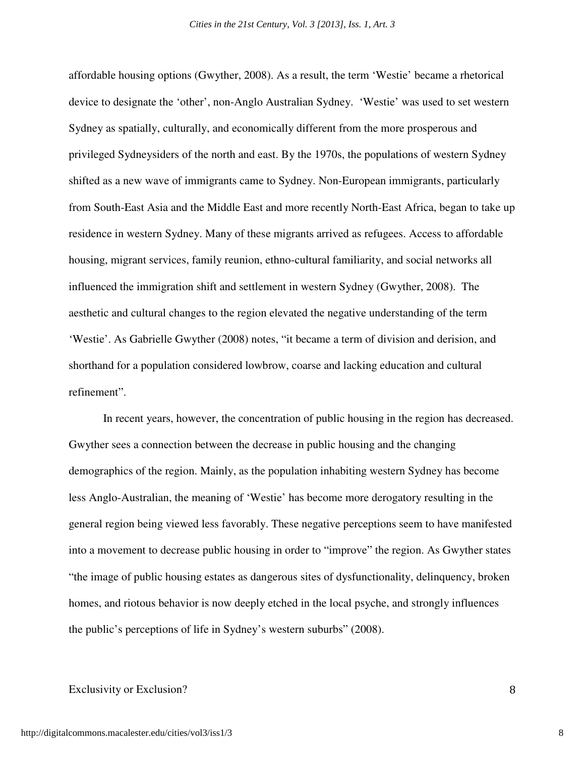affordable housing options (Gwyther, 2008). As a result, the term 'Westie' became a rhetorical device to designate the 'other', non-Anglo Australian Sydney. 'Westie' was used to set western Sydney as spatially, culturally, and economically different from the more prosperous and privileged Sydneysiders of the north and east. By the 1970s, the populations of western Sydney shifted as a new wave of immigrants came to Sydney. Non-European immigrants, particularly from South-East Asia and the Middle East and more recently North-East Africa, began to take up residence in western Sydney. Many of these migrants arrived as refugees. Access to affordable housing, migrant services, family reunion, ethno-cultural familiarity, and social networks all influenced the immigration shift and settlement in western Sydney (Gwyther, 2008). The aesthetic and cultural changes to the region elevated the negative understanding of the term 'Westie'. As Gabrielle Gwyther (2008) notes, "it became a term of division and derision, and shorthand for a population considered lowbrow, coarse and lacking education and cultural refinement".

 In recent years, however, the concentration of public housing in the region has decreased. Gwyther sees a connection between the decrease in public housing and the changing demographics of the region. Mainly, as the population inhabiting western Sydney has become less Anglo-Australian, the meaning of 'Westie' has become more derogatory resulting in the general region being viewed less favorably. These negative perceptions seem to have manifested into a movement to decrease public housing in order to "improve" the region. As Gwyther states "the image of public housing estates as dangerous sites of dysfunctionality, delinquency, broken homes, and riotous behavior is now deeply etched in the local psyche, and strongly influences the public's perceptions of life in Sydney's western suburbs" (2008).

#### Exclusivity or Exclusion? 8

8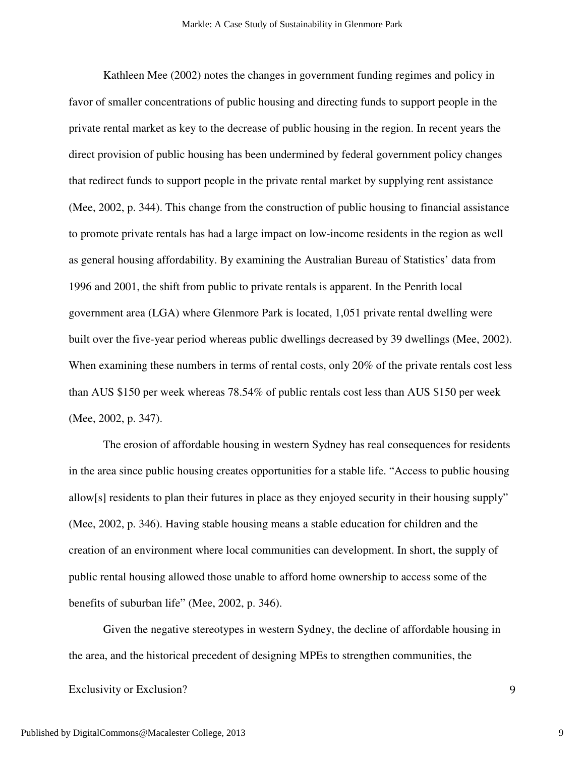Kathleen Mee (2002) notes the changes in government funding regimes and policy in favor of smaller concentrations of public housing and directing funds to support people in the private rental market as key to the decrease of public housing in the region. In recent years the direct provision of public housing has been undermined by federal government policy changes that redirect funds to support people in the private rental market by supplying rent assistance (Mee, 2002, p. 344). This change from the construction of public housing to financial assistance to promote private rentals has had a large impact on low-income residents in the region as well as general housing affordability. By examining the Australian Bureau of Statistics' data from 1996 and 2001, the shift from public to private rentals is apparent. In the Penrith local government area (LGA) where Glenmore Park is located, 1,051 private rental dwelling were built over the five-year period whereas public dwellings decreased by 39 dwellings (Mee, 2002). When examining these numbers in terms of rental costs, only 20% of the private rentals cost less than AUS \$150 per week whereas 78.54% of public rentals cost less than AUS \$150 per week (Mee, 2002, p. 347).

 The erosion of affordable housing in western Sydney has real consequences for residents in the area since public housing creates opportunities for a stable life. "Access to public housing allow[s] residents to plan their futures in place as they enjoyed security in their housing supply" (Mee, 2002, p. 346). Having stable housing means a stable education for children and the creation of an environment where local communities can development. In short, the supply of public rental housing allowed those unable to afford home ownership to access some of the benefits of suburban life" (Mee, 2002, p. 346).

Given the negative stereotypes in western Sydney, the decline of affordable housing in the area, and the historical precedent of designing MPEs to strengthen communities, the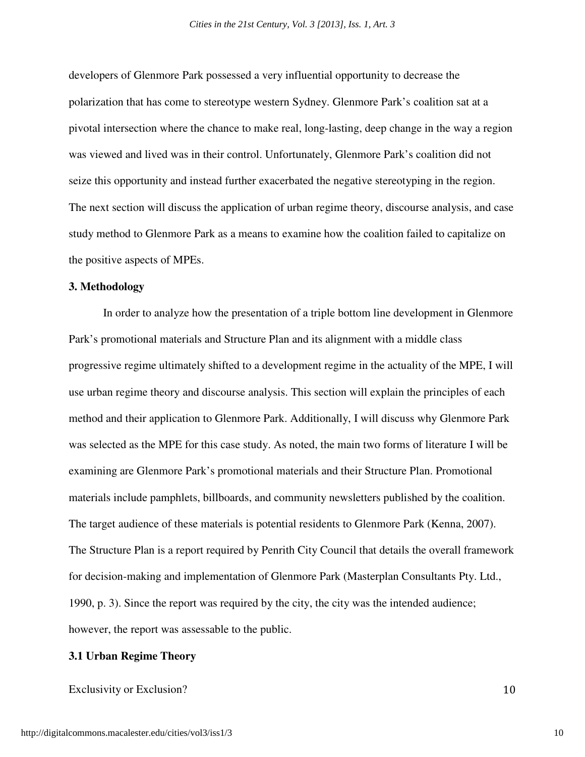developers of Glenmore Park possessed a very influential opportunity to decrease the polarization that has come to stereotype western Sydney. Glenmore Park's coalition sat at a pivotal intersection where the chance to make real, long-lasting, deep change in the way a region was viewed and lived was in their control. Unfortunately, Glenmore Park's coalition did not seize this opportunity and instead further exacerbated the negative stereotyping in the region. The next section will discuss the application of urban regime theory, discourse analysis, and case study method to Glenmore Park as a means to examine how the coalition failed to capitalize on the positive aspects of MPEs.

# **3. Methodology**

In order to analyze how the presentation of a triple bottom line development in Glenmore Park's promotional materials and Structure Plan and its alignment with a middle class progressive regime ultimately shifted to a development regime in the actuality of the MPE, I will use urban regime theory and discourse analysis. This section will explain the principles of each method and their application to Glenmore Park. Additionally, I will discuss why Glenmore Park was selected as the MPE for this case study. As noted, the main two forms of literature I will be examining are Glenmore Park's promotional materials and their Structure Plan. Promotional materials include pamphlets, billboards, and community newsletters published by the coalition. The target audience of these materials is potential residents to Glenmore Park (Kenna, 2007). The Structure Plan is a report required by Penrith City Council that details the overall framework for decision-making and implementation of Glenmore Park (Masterplan Consultants Pty. Ltd., 1990, p. 3). Since the report was required by the city, the city was the intended audience; however, the report was assessable to the public.

#### **3.1 Urban Regime Theory**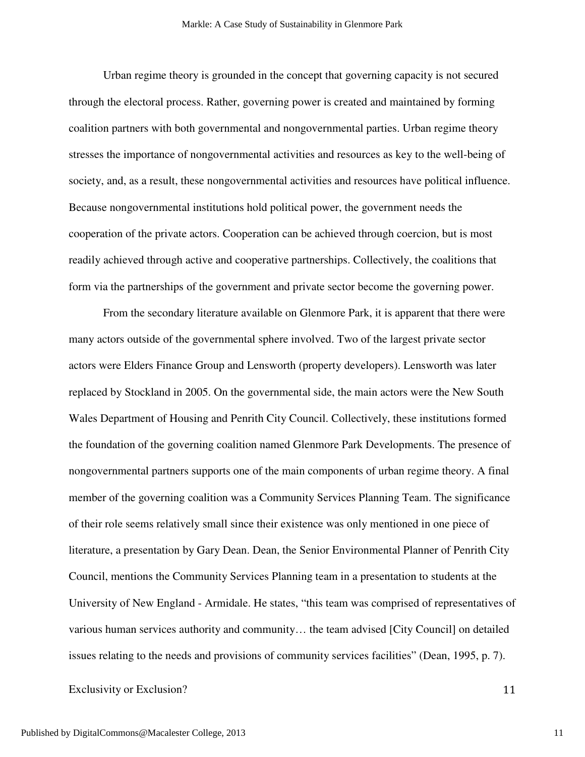Urban regime theory is grounded in the concept that governing capacity is not secured through the electoral process. Rather, governing power is created and maintained by forming coalition partners with both governmental and nongovernmental parties. Urban regime theory stresses the importance of nongovernmental activities and resources as key to the well-being of society, and, as a result, these nongovernmental activities and resources have political influence. Because nongovernmental institutions hold political power, the government needs the cooperation of the private actors. Cooperation can be achieved through coercion, but is most readily achieved through active and cooperative partnerships. Collectively, the coalitions that form via the partnerships of the government and private sector become the governing power.

 From the secondary literature available on Glenmore Park, it is apparent that there were many actors outside of the governmental sphere involved. Two of the largest private sector actors were Elders Finance Group and Lensworth (property developers). Lensworth was later replaced by Stockland in 2005. On the governmental side, the main actors were the New South Wales Department of Housing and Penrith City Council. Collectively, these institutions formed the foundation of the governing coalition named Glenmore Park Developments. The presence of nongovernmental partners supports one of the main components of urban regime theory. A final member of the governing coalition was a Community Services Planning Team. The significance of their role seems relatively small since their existence was only mentioned in one piece of literature, a presentation by Gary Dean. Dean, the Senior Environmental Planner of Penrith City Council, mentions the Community Services Planning team in a presentation to students at the University of New England - Armidale. He states, "this team was comprised of representatives of various human services authority and community… the team advised [City Council] on detailed issues relating to the needs and provisions of community services facilities" (Dean, 1995, p. 7).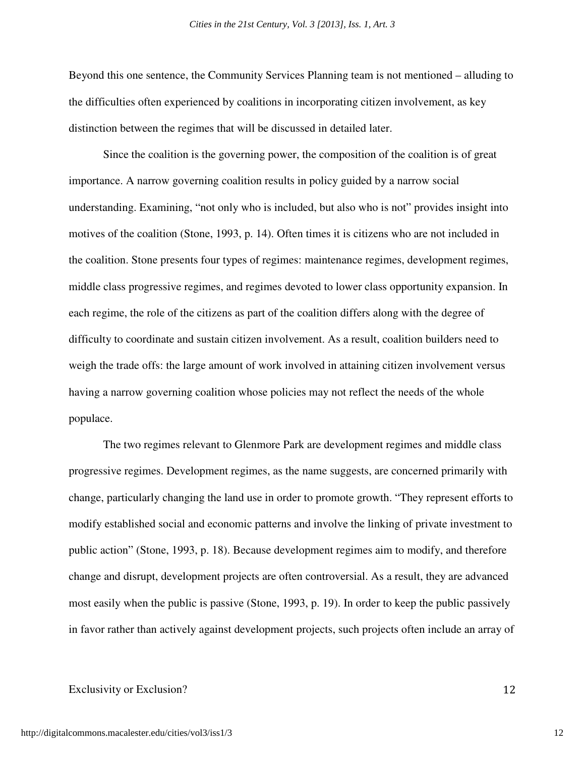Beyond this one sentence, the Community Services Planning team is not mentioned – alluding to the difficulties often experienced by coalitions in incorporating citizen involvement, as key distinction between the regimes that will be discussed in detailed later.

 Since the coalition is the governing power, the composition of the coalition is of great importance. A narrow governing coalition results in policy guided by a narrow social understanding. Examining, "not only who is included, but also who is not" provides insight into motives of the coalition (Stone, 1993, p. 14). Often times it is citizens who are not included in the coalition. Stone presents four types of regimes: maintenance regimes, development regimes, middle class progressive regimes, and regimes devoted to lower class opportunity expansion. In each regime, the role of the citizens as part of the coalition differs along with the degree of difficulty to coordinate and sustain citizen involvement. As a result, coalition builders need to weigh the trade offs: the large amount of work involved in attaining citizen involvement versus having a narrow governing coalition whose policies may not reflect the needs of the whole populace.

The two regimes relevant to Glenmore Park are development regimes and middle class progressive regimes. Development regimes, as the name suggests, are concerned primarily with change, particularly changing the land use in order to promote growth. "They represent efforts to modify established social and economic patterns and involve the linking of private investment to public action" (Stone, 1993, p. 18). Because development regimes aim to modify, and therefore change and disrupt, development projects are often controversial. As a result, they are advanced most easily when the public is passive (Stone, 1993, p. 19). In order to keep the public passively in favor rather than actively against development projects, such projects often include an array of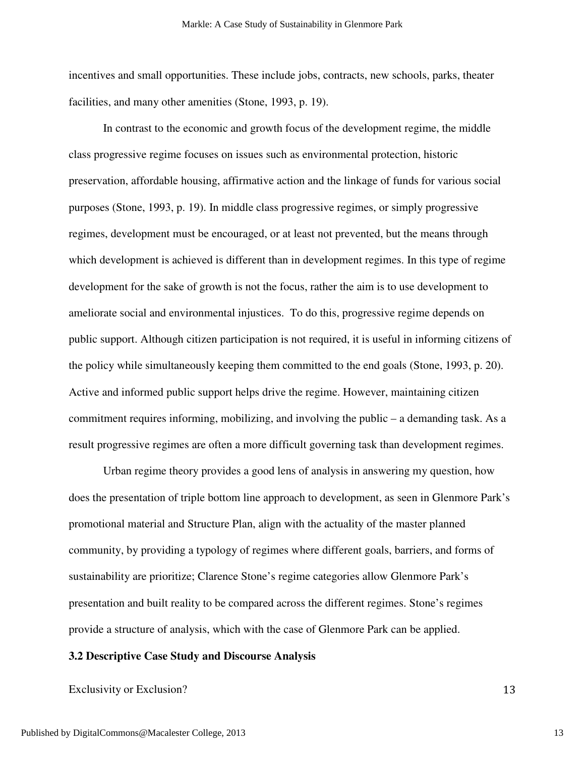incentives and small opportunities. These include jobs, contracts, new schools, parks, theater facilities, and many other amenities (Stone, 1993, p. 19).

 In contrast to the economic and growth focus of the development regime, the middle class progressive regime focuses on issues such as environmental protection, historic preservation, affordable housing, affirmative action and the linkage of funds for various social purposes (Stone, 1993, p. 19). In middle class progressive regimes, or simply progressive regimes, development must be encouraged, or at least not prevented, but the means through which development is achieved is different than in development regimes. In this type of regime development for the sake of growth is not the focus, rather the aim is to use development to ameliorate social and environmental injustices. To do this, progressive regime depends on public support. Although citizen participation is not required, it is useful in informing citizens of the policy while simultaneously keeping them committed to the end goals (Stone, 1993, p. 20). Active and informed public support helps drive the regime. However, maintaining citizen commitment requires informing, mobilizing, and involving the public – a demanding task. As a result progressive regimes are often a more difficult governing task than development regimes.

 Urban regime theory provides a good lens of analysis in answering my question, how does the presentation of triple bottom line approach to development, as seen in Glenmore Park's promotional material and Structure Plan, align with the actuality of the master planned community, by providing a typology of regimes where different goals, barriers, and forms of sustainability are prioritize; Clarence Stone's regime categories allow Glenmore Park's presentation and built reality to be compared across the different regimes. Stone's regimes provide a structure of analysis, which with the case of Glenmore Park can be applied.

#### **3.2 Descriptive Case Study and Discourse Analysis**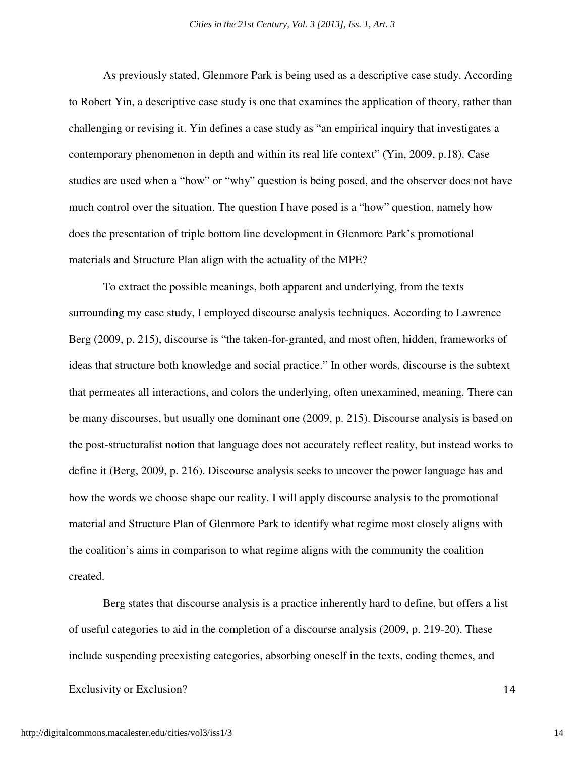As previously stated, Glenmore Park is being used as a descriptive case study. According to Robert Yin, a descriptive case study is one that examines the application of theory, rather than challenging or revising it. Yin defines a case study as "an empirical inquiry that investigates a contemporary phenomenon in depth and within its real life context" (Yin, 2009, p.18). Case studies are used when a "how" or "why" question is being posed, and the observer does not have much control over the situation. The question I have posed is a "how" question, namely how does the presentation of triple bottom line development in Glenmore Park's promotional materials and Structure Plan align with the actuality of the MPE?

To extract the possible meanings, both apparent and underlying, from the texts surrounding my case study, I employed discourse analysis techniques. According to Lawrence Berg (2009, p. 215), discourse is "the taken-for-granted, and most often, hidden, frameworks of ideas that structure both knowledge and social practice." In other words, discourse is the subtext that permeates all interactions, and colors the underlying, often unexamined, meaning. There can be many discourses, but usually one dominant one (2009, p. 215). Discourse analysis is based on the post-structuralist notion that language does not accurately reflect reality, but instead works to define it (Berg, 2009, p. 216). Discourse analysis seeks to uncover the power language has and how the words we choose shape our reality. I will apply discourse analysis to the promotional material and Structure Plan of Glenmore Park to identify what regime most closely aligns with the coalition's aims in comparison to what regime aligns with the community the coalition created.

 Berg states that discourse analysis is a practice inherently hard to define, but offers a list of useful categories to aid in the completion of a discourse analysis (2009, p. 219-20). These include suspending preexisting categories, absorbing oneself in the texts, coding themes, and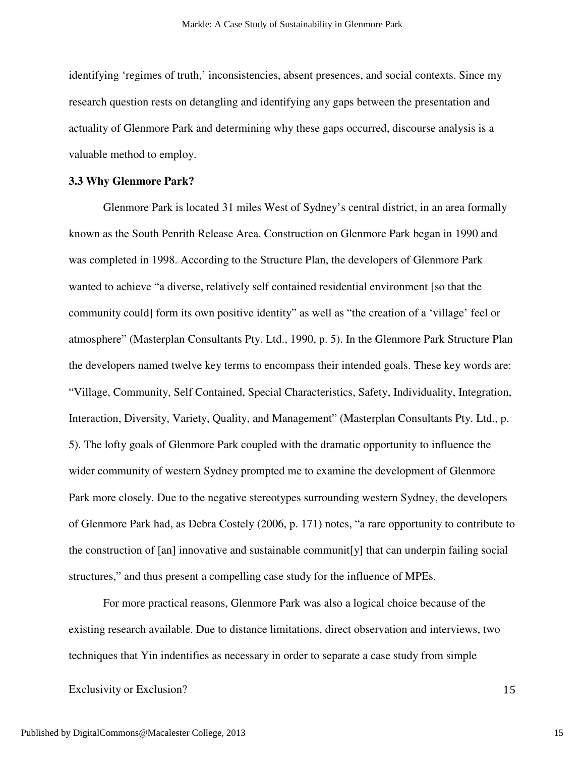identifying 'regimes of truth,' inconsistencies, absent presences, and social contexts. Since my research question rests on detangling and identifying any gaps between the presentation and actuality of Glenmore Park and determining why these gaps occurred, discourse analysis is a valuable method to employ.

#### **3.3 Why Glenmore Park?**

Glenmore Park is located 31 miles West of Sydney's central district, in an area formally known as the South Penrith Release Area. Construction on Glenmore Park began in 1990 and was completed in 1998. According to the Structure Plan, the developers of Glenmore Park wanted to achieve "a diverse, relatively self contained residential environment [so that the community could] form its own positive identity" as well as "the creation of a 'village' feel or atmosphere" (Masterplan Consultants Pty. Ltd., 1990, p. 5). In the Glenmore Park Structure Plan the developers named twelve key terms to encompass their intended goals. These key words are: "Village, Community, Self Contained, Special Characteristics, Safety, Individuality, Integration, Interaction, Diversity, Variety, Quality, and Management" (Masterplan Consultants Pty. Ltd., p. 5). The lofty goals of Glenmore Park coupled with the dramatic opportunity to influence the wider community of western Sydney prompted me to examine the development of Glenmore Park more closely. Due to the negative stereotypes surrounding western Sydney, the developers of Glenmore Park had, as Debra Costely (2006, p. 171) notes, "a rare opportunity to contribute to the construction of [an] innovative and sustainable communit[y] that can underpin failing social structures," and thus present a compelling case study for the influence of MPEs.

For more practical reasons, Glenmore Park was also a logical choice because of the existing research available. Due to distance limitations, direct observation and interviews, two techniques that Yin indentifies as necessary in order to separate a case study from simple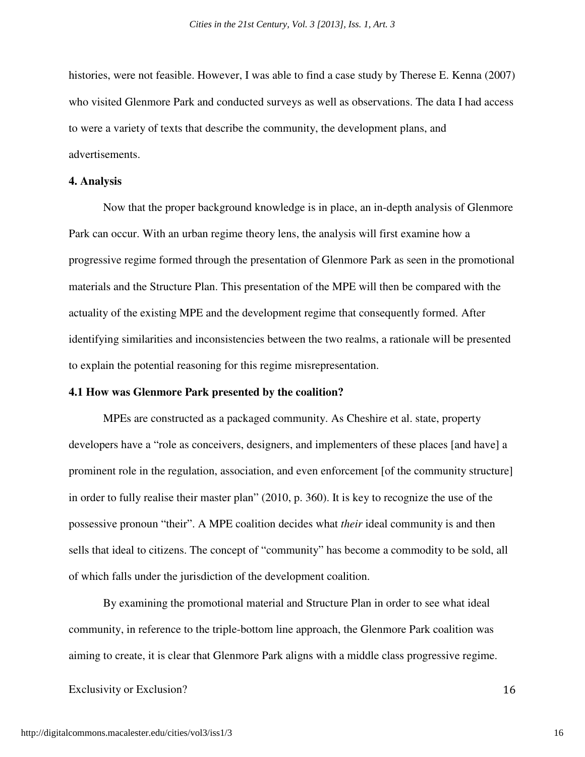histories, were not feasible. However, I was able to find a case study by Therese E. Kenna (2007) who visited Glenmore Park and conducted surveys as well as observations. The data I had access to were a variety of texts that describe the community, the development plans, and advertisements.

# **4. Analysis**

 Now that the proper background knowledge is in place, an in-depth analysis of Glenmore Park can occur. With an urban regime theory lens, the analysis will first examine how a progressive regime formed through the presentation of Glenmore Park as seen in the promotional materials and the Structure Plan. This presentation of the MPE will then be compared with the actuality of the existing MPE and the development regime that consequently formed. After identifying similarities and inconsistencies between the two realms, a rationale will be presented to explain the potential reasoning for this regime misrepresentation.

#### **4.1 How was Glenmore Park presented by the coalition?**

MPEs are constructed as a packaged community. As Cheshire et al. state, property developers have a "role as conceivers, designers, and implementers of these places [and have] a prominent role in the regulation, association, and even enforcement [of the community structure] in order to fully realise their master plan" (2010, p. 360). It is key to recognize the use of the possessive pronoun "their". A MPE coalition decides what *their* ideal community is and then sells that ideal to citizens. The concept of "community" has become a commodity to be sold, all of which falls under the jurisdiction of the development coalition.

By examining the promotional material and Structure Plan in order to see what ideal community, in reference to the triple-bottom line approach, the Glenmore Park coalition was aiming to create, it is clear that Glenmore Park aligns with a middle class progressive regime.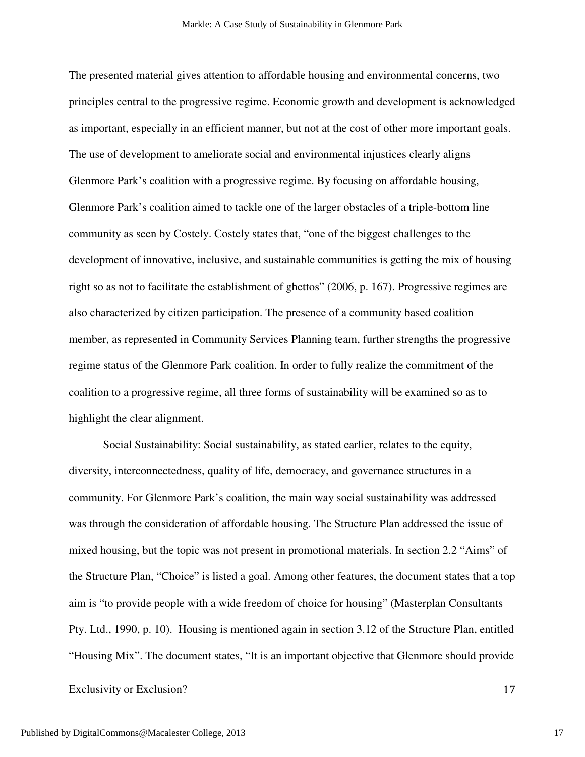The presented material gives attention to affordable housing and environmental concerns, two principles central to the progressive regime. Economic growth and development is acknowledged as important, especially in an efficient manner, but not at the cost of other more important goals. The use of development to ameliorate social and environmental injustices clearly aligns Glenmore Park's coalition with a progressive regime. By focusing on affordable housing, Glenmore Park's coalition aimed to tackle one of the larger obstacles of a triple-bottom line community as seen by Costely. Costely states that, "one of the biggest challenges to the development of innovative, inclusive, and sustainable communities is getting the mix of housing right so as not to facilitate the establishment of ghettos" (2006, p. 167). Progressive regimes are also characterized by citizen participation. The presence of a community based coalition member, as represented in Community Services Planning team, further strengths the progressive regime status of the Glenmore Park coalition. In order to fully realize the commitment of the coalition to a progressive regime, all three forms of sustainability will be examined so as to highlight the clear alignment.

Social Sustainability: Social sustainability, as stated earlier, relates to the equity, diversity, interconnectedness, quality of life, democracy, and governance structures in a community. For Glenmore Park's coalition, the main way social sustainability was addressed was through the consideration of affordable housing. The Structure Plan addressed the issue of mixed housing, but the topic was not present in promotional materials. In section 2.2 "Aims" of the Structure Plan, "Choice" is listed a goal. Among other features, the document states that a top aim is "to provide people with a wide freedom of choice for housing" (Masterplan Consultants Pty. Ltd., 1990, p. 10). Housing is mentioned again in section 3.12 of the Structure Plan, entitled "Housing Mix". The document states, "It is an important objective that Glenmore should provide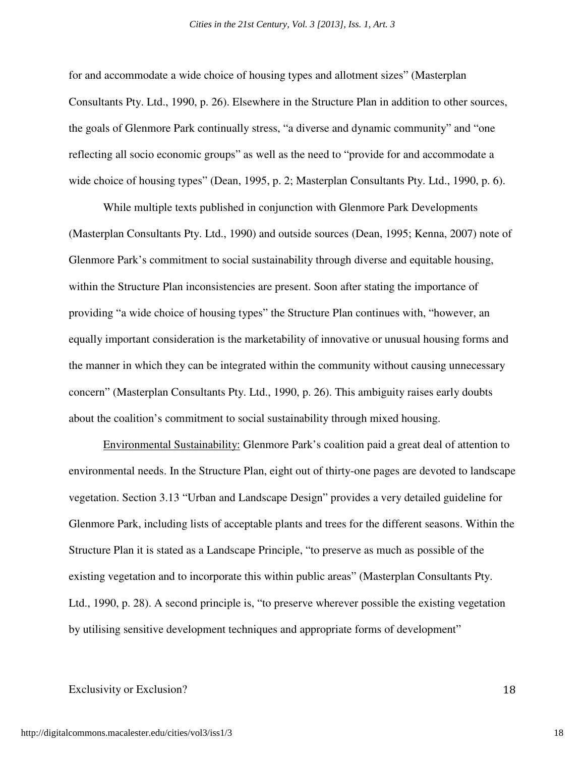for and accommodate a wide choice of housing types and allotment sizes" (Masterplan Consultants Pty. Ltd., 1990, p. 26). Elsewhere in the Structure Plan in addition to other sources, the goals of Glenmore Park continually stress, "a diverse and dynamic community" and "one reflecting all socio economic groups" as well as the need to "provide for and accommodate a wide choice of housing types" (Dean, 1995, p. 2; Masterplan Consultants Pty. Ltd., 1990, p. 6).

While multiple texts published in conjunction with Glenmore Park Developments (Masterplan Consultants Pty. Ltd., 1990) and outside sources (Dean, 1995; Kenna, 2007) note of Glenmore Park's commitment to social sustainability through diverse and equitable housing, within the Structure Plan inconsistencies are present. Soon after stating the importance of providing "a wide choice of housing types" the Structure Plan continues with, "however, an equally important consideration is the marketability of innovative or unusual housing forms and the manner in which they can be integrated within the community without causing unnecessary concern" (Masterplan Consultants Pty. Ltd., 1990, p. 26). This ambiguity raises early doubts about the coalition's commitment to social sustainability through mixed housing.

Environmental Sustainability: Glenmore Park's coalition paid a great deal of attention to environmental needs. In the Structure Plan, eight out of thirty-one pages are devoted to landscape vegetation. Section 3.13 "Urban and Landscape Design" provides a very detailed guideline for Glenmore Park, including lists of acceptable plants and trees for the different seasons. Within the Structure Plan it is stated as a Landscape Principle, "to preserve as much as possible of the existing vegetation and to incorporate this within public areas" (Masterplan Consultants Pty. Ltd., 1990, p. 28). A second principle is, "to preserve wherever possible the existing vegetation by utilising sensitive development techniques and appropriate forms of development"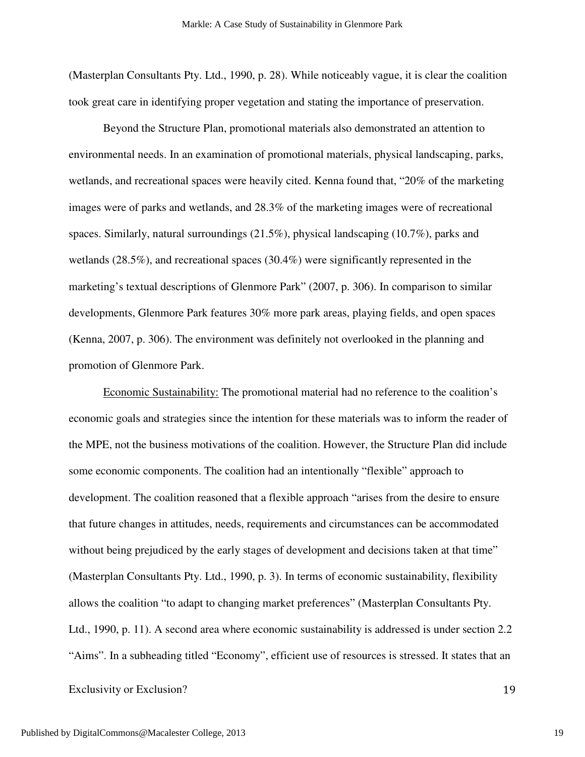(Masterplan Consultants Pty. Ltd., 1990, p. 28). While noticeably vague, it is clear the coalition took great care in identifying proper vegetation and stating the importance of preservation.

Beyond the Structure Plan, promotional materials also demonstrated an attention to environmental needs. In an examination of promotional materials, physical landscaping, parks, wetlands, and recreational spaces were heavily cited. Kenna found that, "20% of the marketing images were of parks and wetlands, and 28.3% of the marketing images were of recreational spaces. Similarly, natural surroundings (21.5%), physical landscaping (10.7%), parks and wetlands (28.5%), and recreational spaces (30.4%) were significantly represented in the marketing's textual descriptions of Glenmore Park" (2007, p. 306). In comparison to similar developments, Glenmore Park features 30% more park areas, playing fields, and open spaces (Kenna, 2007, p. 306). The environment was definitely not overlooked in the planning and promotion of Glenmore Park.

Economic Sustainability: The promotional material had no reference to the coalition's economic goals and strategies since the intention for these materials was to inform the reader of the MPE, not the business motivations of the coalition. However, the Structure Plan did include some economic components. The coalition had an intentionally "flexible" approach to development. The coalition reasoned that a flexible approach "arises from the desire to ensure that future changes in attitudes, needs, requirements and circumstances can be accommodated without being prejudiced by the early stages of development and decisions taken at that time" (Masterplan Consultants Pty. Ltd., 1990, p. 3). In terms of economic sustainability, flexibility allows the coalition "to adapt to changing market preferences" (Masterplan Consultants Pty. Ltd., 1990, p. 11). A second area where economic sustainability is addressed is under section 2.2 "Aims". In a subheading titled "Economy", efficient use of resources is stressed. It states that an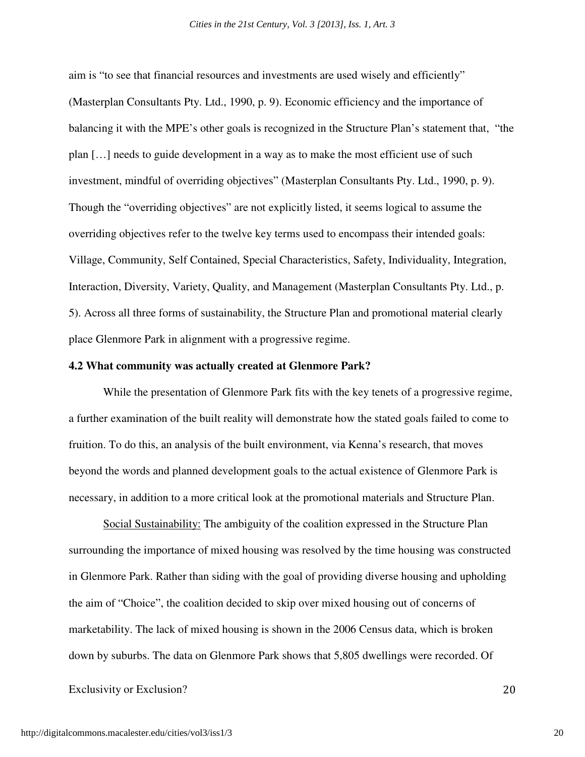aim is "to see that financial resources and investments are used wisely and efficiently" (Masterplan Consultants Pty. Ltd., 1990, p. 9). Economic efficiency and the importance of balancing it with the MPE's other goals is recognized in the Structure Plan's statement that, "the plan […] needs to guide development in a way as to make the most efficient use of such investment, mindful of overriding objectives" (Masterplan Consultants Pty. Ltd., 1990, p. 9). Though the "overriding objectives" are not explicitly listed, it seems logical to assume the overriding objectives refer to the twelve key terms used to encompass their intended goals: Village, Community, Self Contained, Special Characteristics, Safety, Individuality, Integration, Interaction, Diversity, Variety, Quality, and Management (Masterplan Consultants Pty. Ltd., p. 5). Across all three forms of sustainability, the Structure Plan and promotional material clearly place Glenmore Park in alignment with a progressive regime.

## **4.2 What community was actually created at Glenmore Park?**

While the presentation of Glenmore Park fits with the key tenets of a progressive regime, a further examination of the built reality will demonstrate how the stated goals failed to come to fruition. To do this, an analysis of the built environment, via Kenna's research, that moves beyond the words and planned development goals to the actual existence of Glenmore Park is necessary, in addition to a more critical look at the promotional materials and Structure Plan.

 Social Sustainability: The ambiguity of the coalition expressed in the Structure Plan surrounding the importance of mixed housing was resolved by the time housing was constructed in Glenmore Park. Rather than siding with the goal of providing diverse housing and upholding the aim of "Choice", the coalition decided to skip over mixed housing out of concerns of marketability. The lack of mixed housing is shown in the 2006 Census data, which is broken down by suburbs. The data on Glenmore Park shows that 5,805 dwellings were recorded. Of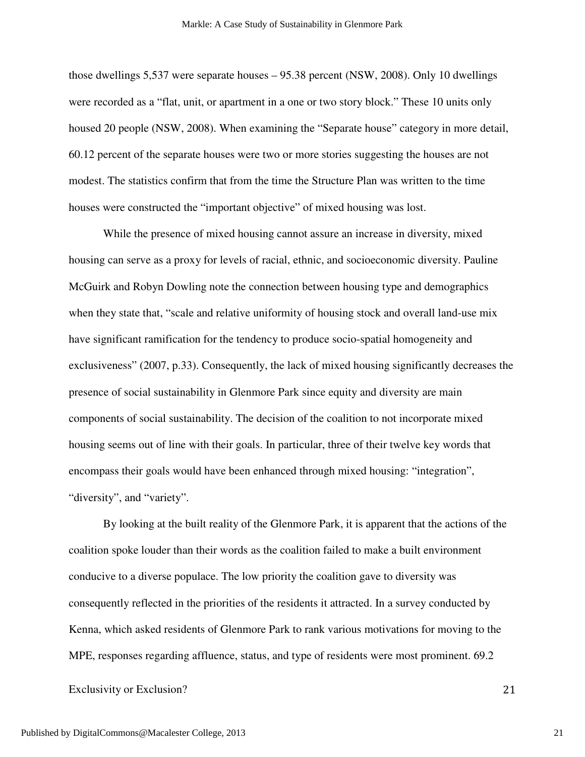those dwellings 5,537 were separate houses – 95.38 percent (NSW, 2008). Only 10 dwellings were recorded as a "flat, unit, or apartment in a one or two story block." These 10 units only housed 20 people (NSW, 2008). When examining the "Separate house" category in more detail, 60.12 percent of the separate houses were two or more stories suggesting the houses are not modest. The statistics confirm that from the time the Structure Plan was written to the time houses were constructed the "important objective" of mixed housing was lost.

 While the presence of mixed housing cannot assure an increase in diversity, mixed housing can serve as a proxy for levels of racial, ethnic, and socioeconomic diversity. Pauline McGuirk and Robyn Dowling note the connection between housing type and demographics when they state that, "scale and relative uniformity of housing stock and overall land-use mix have significant ramification for the tendency to produce socio-spatial homogeneity and exclusiveness" (2007, p.33). Consequently, the lack of mixed housing significantly decreases the presence of social sustainability in Glenmore Park since equity and diversity are main components of social sustainability. The decision of the coalition to not incorporate mixed housing seems out of line with their goals. In particular, three of their twelve key words that encompass their goals would have been enhanced through mixed housing: "integration", "diversity", and "variety".

 By looking at the built reality of the Glenmore Park, it is apparent that the actions of the coalition spoke louder than their words as the coalition failed to make a built environment conducive to a diverse populace. The low priority the coalition gave to diversity was consequently reflected in the priorities of the residents it attracted. In a survey conducted by Kenna, which asked residents of Glenmore Park to rank various motivations for moving to the MPE, responses regarding affluence, status, and type of residents were most prominent. 69.2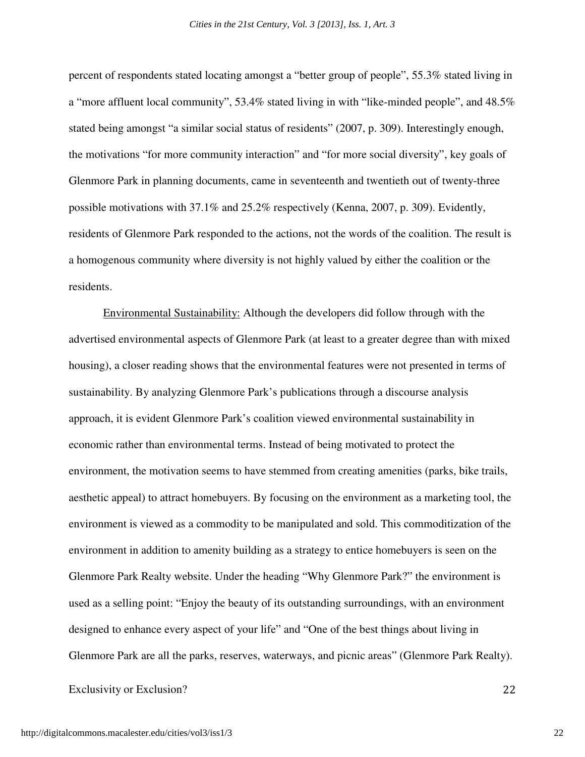percent of respondents stated locating amongst a "better group of people", 55.3% stated living in a "more affluent local community", 53.4% stated living in with "like-minded people", and 48.5% stated being amongst "a similar social status of residents" (2007, p. 309). Interestingly enough, the motivations "for more community interaction" and "for more social diversity", key goals of Glenmore Park in planning documents, came in seventeenth and twentieth out of twenty-three possible motivations with 37.1% and 25.2% respectively (Kenna, 2007, p. 309). Evidently, residents of Glenmore Park responded to the actions, not the words of the coalition. The result is a homogenous community where diversity is not highly valued by either the coalition or the residents.

Environmental Sustainability: Although the developers did follow through with the advertised environmental aspects of Glenmore Park (at least to a greater degree than with mixed housing), a closer reading shows that the environmental features were not presented in terms of sustainability. By analyzing Glenmore Park's publications through a discourse analysis approach, it is evident Glenmore Park's coalition viewed environmental sustainability in economic rather than environmental terms. Instead of being motivated to protect the environment, the motivation seems to have stemmed from creating amenities (parks, bike trails, aesthetic appeal) to attract homebuyers. By focusing on the environment as a marketing tool, the environment is viewed as a commodity to be manipulated and sold. This commoditization of the environment in addition to amenity building as a strategy to entice homebuyers is seen on the Glenmore Park Realty website. Under the heading "Why Glenmore Park?" the environment is used as a selling point: "Enjoy the beauty of its outstanding surroundings, with an environment designed to enhance every aspect of your life" and "One of the best things about living in Glenmore Park are all the parks, reserves, waterways, and picnic areas" (Glenmore Park Realty).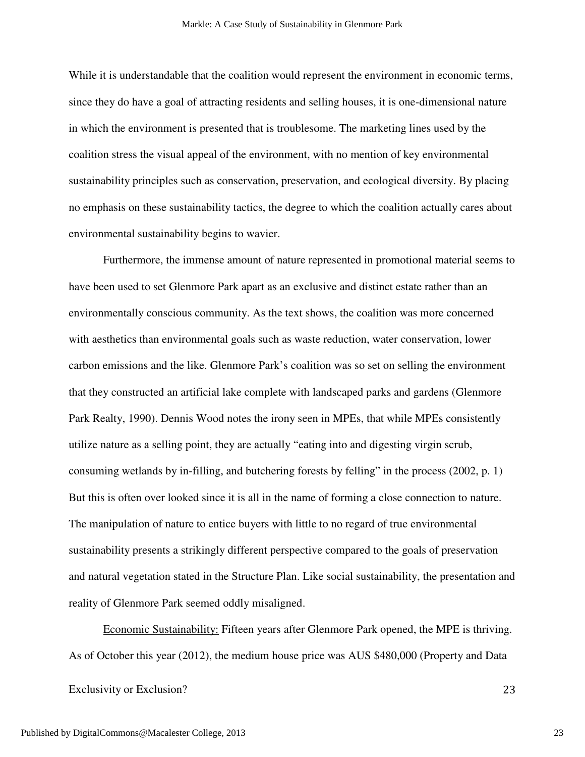While it is understandable that the coalition would represent the environment in economic terms, since they do have a goal of attracting residents and selling houses, it is one-dimensional nature in which the environment is presented that is troublesome. The marketing lines used by the coalition stress the visual appeal of the environment, with no mention of key environmental sustainability principles such as conservation, preservation, and ecological diversity. By placing no emphasis on these sustainability tactics, the degree to which the coalition actually cares about environmental sustainability begins to wavier.

Furthermore, the immense amount of nature represented in promotional material seems to have been used to set Glenmore Park apart as an exclusive and distinct estate rather than an environmentally conscious community. As the text shows, the coalition was more concerned with aesthetics than environmental goals such as waste reduction, water conservation, lower carbon emissions and the like. Glenmore Park's coalition was so set on selling the environment that they constructed an artificial lake complete with landscaped parks and gardens (Glenmore Park Realty, 1990). Dennis Wood notes the irony seen in MPEs, that while MPEs consistently utilize nature as a selling point, they are actually "eating into and digesting virgin scrub, consuming wetlands by in-filling, and butchering forests by felling" in the process (2002, p. 1) But this is often over looked since it is all in the name of forming a close connection to nature. The manipulation of nature to entice buyers with little to no regard of true environmental sustainability presents a strikingly different perspective compared to the goals of preservation and natural vegetation stated in the Structure Plan. Like social sustainability, the presentation and reality of Glenmore Park seemed oddly misaligned.

Economic Sustainability: Fifteen years after Glenmore Park opened, the MPE is thriving. As of October this year (2012), the medium house price was AUS \$480,000 (Property and Data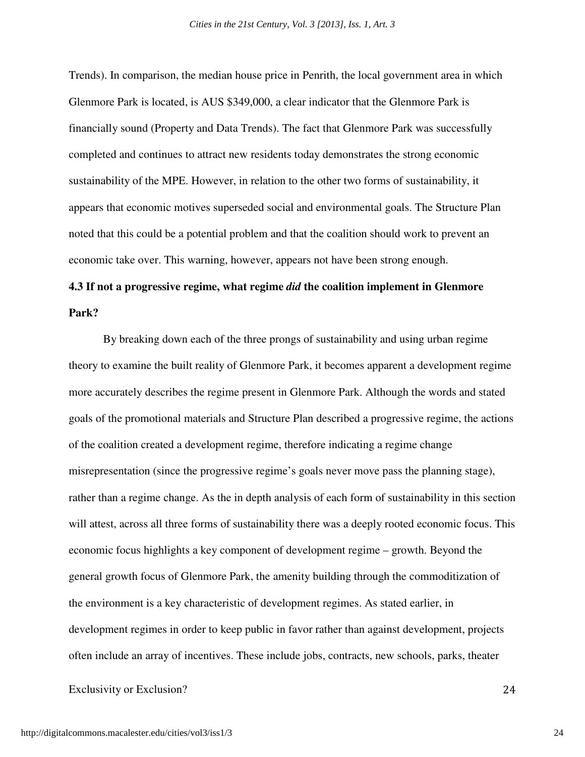Trends). In comparison, the median house price in Penrith, the local government area in which Glenmore Park is located, is AUS \$349,000, a clear indicator that the Glenmore Park is financially sound (Property and Data Trends). The fact that Glenmore Park was successfully completed and continues to attract new residents today demonstrates the strong economic sustainability of the MPE. However, in relation to the other two forms of sustainability, it appears that economic motives superseded social and environmental goals. The Structure Plan noted that this could be a potential problem and that the coalition should work to prevent an economic take over. This warning, however, appears not have been strong enough.

# **4.3 If not a progressive regime, what regime** *did* **the coalition implement in Glenmore Park?**

By breaking down each of the three prongs of sustainability and using urban regime theory to examine the built reality of Glenmore Park, it becomes apparent a development regime more accurately describes the regime present in Glenmore Park. Although the words and stated goals of the promotional materials and Structure Plan described a progressive regime, the actions of the coalition created a development regime, therefore indicating a regime change misrepresentation (since the progressive regime's goals never move pass the planning stage), rather than a regime change. As the in depth analysis of each form of sustainability in this section will attest, across all three forms of sustainability there was a deeply rooted economic focus. This economic focus highlights a key component of development regime – growth. Beyond the general growth focus of Glenmore Park, the amenity building through the commoditization of the environment is a key characteristic of development regimes. As stated earlier, in development regimes in order to keep public in favor rather than against development, projects often include an array of incentives. These include jobs, contracts, new schools, parks, theater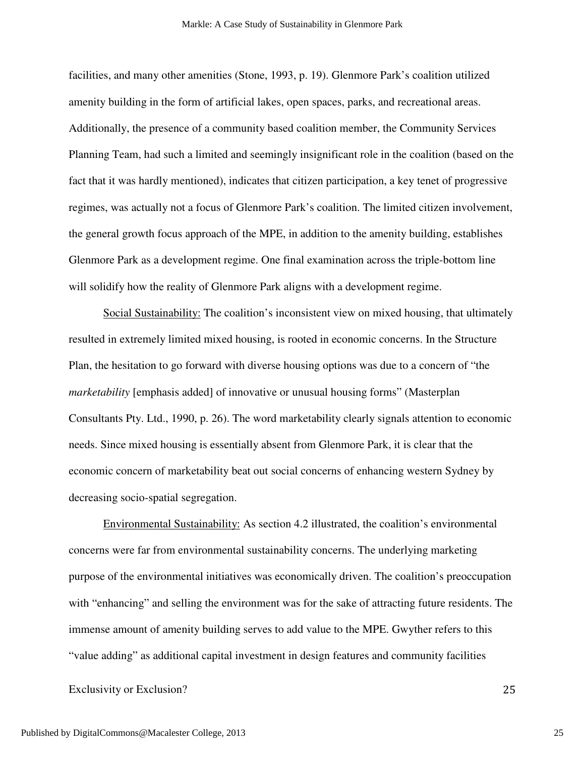facilities, and many other amenities (Stone, 1993, p. 19). Glenmore Park's coalition utilized amenity building in the form of artificial lakes, open spaces, parks, and recreational areas. Additionally, the presence of a community based coalition member, the Community Services Planning Team, had such a limited and seemingly insignificant role in the coalition (based on the fact that it was hardly mentioned), indicates that citizen participation, a key tenet of progressive regimes, was actually not a focus of Glenmore Park's coalition. The limited citizen involvement, the general growth focus approach of the MPE, in addition to the amenity building, establishes Glenmore Park as a development regime. One final examination across the triple-bottom line will solidify how the reality of Glenmore Park aligns with a development regime.

Social Sustainability: The coalition's inconsistent view on mixed housing, that ultimately resulted in extremely limited mixed housing, is rooted in economic concerns. In the Structure Plan, the hesitation to go forward with diverse housing options was due to a concern of "the *marketability* [emphasis added] of innovative or unusual housing forms" (Masterplan Consultants Pty. Ltd., 1990, p. 26). The word marketability clearly signals attention to economic needs. Since mixed housing is essentially absent from Glenmore Park, it is clear that the economic concern of marketability beat out social concerns of enhancing western Sydney by decreasing socio-spatial segregation.

Environmental Sustainability: As section 4.2 illustrated, the coalition's environmental concerns were far from environmental sustainability concerns. The underlying marketing purpose of the environmental initiatives was economically driven. The coalition's preoccupation with "enhancing" and selling the environment was for the sake of attracting future residents. The immense amount of amenity building serves to add value to the MPE. Gwyther refers to this "value adding" as additional capital investment in design features and community facilities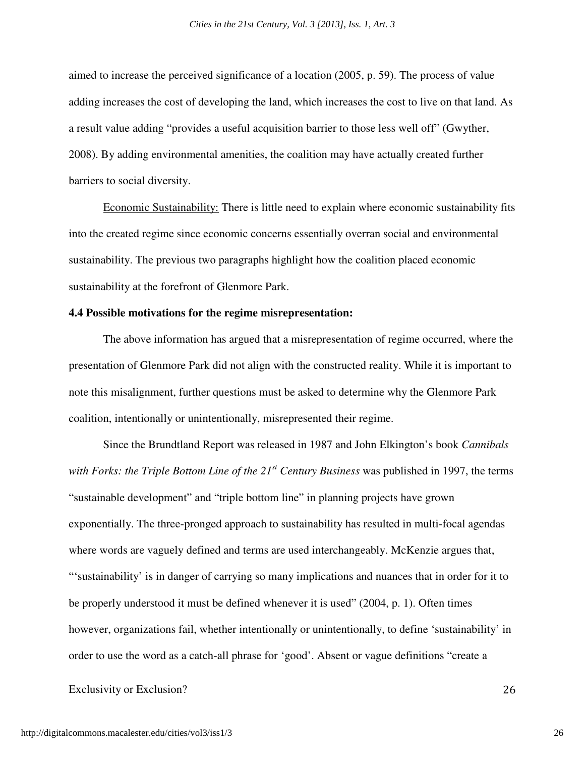aimed to increase the perceived significance of a location (2005, p. 59). The process of value adding increases the cost of developing the land, which increases the cost to live on that land. As a result value adding "provides a useful acquisition barrier to those less well off" (Gwyther, 2008). By adding environmental amenities, the coalition may have actually created further barriers to social diversity.

Economic Sustainability: There is little need to explain where economic sustainability fits into the created regime since economic concerns essentially overran social and environmental sustainability. The previous two paragraphs highlight how the coalition placed economic sustainability at the forefront of Glenmore Park.

# **4.4 Possible motivations for the regime misrepresentation:**

The above information has argued that a misrepresentation of regime occurred, where the presentation of Glenmore Park did not align with the constructed reality. While it is important to note this misalignment, further questions must be asked to determine why the Glenmore Park coalition, intentionally or unintentionally, misrepresented their regime.

Since the Brundtland Report was released in 1987 and John Elkington's book *Cannibals with Forks: the Triple Bottom Line of the 21st Century Business* was published in 1997, the terms "sustainable development" and "triple bottom line" in planning projects have grown exponentially. The three-pronged approach to sustainability has resulted in multi-focal agendas where words are vaguely defined and terms are used interchangeably. McKenzie argues that, "'sustainability' is in danger of carrying so many implications and nuances that in order for it to be properly understood it must be defined whenever it is used" (2004, p. 1). Often times however, organizations fail, whether intentionally or unintentionally, to define 'sustainability' in order to use the word as a catch-all phrase for 'good'. Absent or vague definitions "create a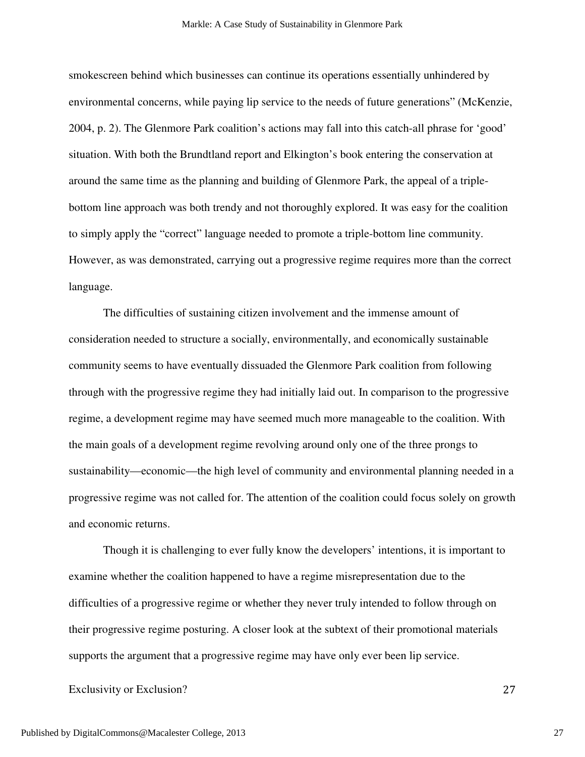smokescreen behind which businesses can continue its operations essentially unhindered by environmental concerns, while paying lip service to the needs of future generations" (McKenzie, 2004, p. 2). The Glenmore Park coalition's actions may fall into this catch-all phrase for 'good' situation. With both the Brundtland report and Elkington's book entering the conservation at around the same time as the planning and building of Glenmore Park, the appeal of a triplebottom line approach was both trendy and not thoroughly explored. It was easy for the coalition to simply apply the "correct" language needed to promote a triple-bottom line community. However, as was demonstrated, carrying out a progressive regime requires more than the correct language.

 The difficulties of sustaining citizen involvement and the immense amount of consideration needed to structure a socially, environmentally, and economically sustainable community seems to have eventually dissuaded the Glenmore Park coalition from following through with the progressive regime they had initially laid out. In comparison to the progressive regime, a development regime may have seemed much more manageable to the coalition. With the main goals of a development regime revolving around only one of the three prongs to sustainability—economic—the high level of community and environmental planning needed in a progressive regime was not called for. The attention of the coalition could focus solely on growth and economic returns.

Though it is challenging to ever fully know the developers' intentions, it is important to examine whether the coalition happened to have a regime misrepresentation due to the difficulties of a progressive regime or whether they never truly intended to follow through on their progressive regime posturing. A closer look at the subtext of their promotional materials supports the argument that a progressive regime may have only ever been lip service.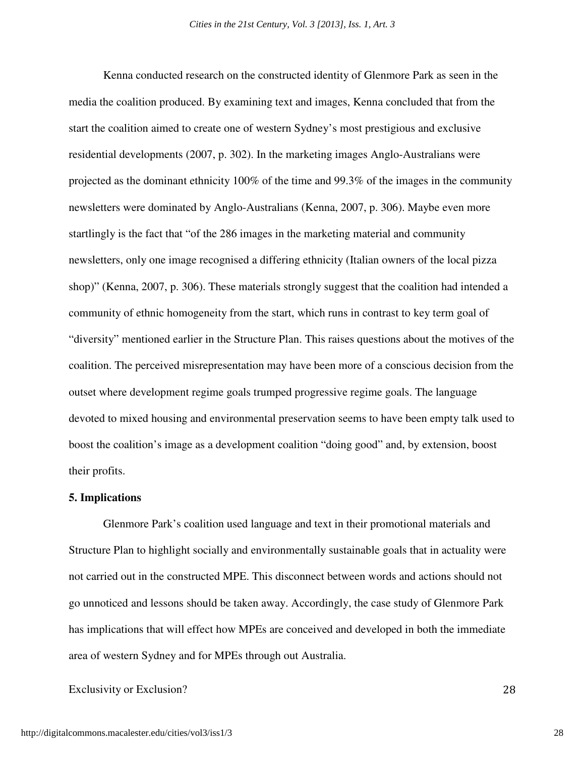Kenna conducted research on the constructed identity of Glenmore Park as seen in the media the coalition produced. By examining text and images, Kenna concluded that from the start the coalition aimed to create one of western Sydney's most prestigious and exclusive residential developments (2007, p. 302). In the marketing images Anglo-Australians were projected as the dominant ethnicity 100% of the time and 99.3% of the images in the community newsletters were dominated by Anglo-Australians (Kenna, 2007, p. 306). Maybe even more startlingly is the fact that "of the 286 images in the marketing material and community newsletters, only one image recognised a differing ethnicity (Italian owners of the local pizza shop)" (Kenna, 2007, p. 306). These materials strongly suggest that the coalition had intended a community of ethnic homogeneity from the start, which runs in contrast to key term goal of "diversity" mentioned earlier in the Structure Plan. This raises questions about the motives of the coalition. The perceived misrepresentation may have been more of a conscious decision from the outset where development regime goals trumped progressive regime goals. The language devoted to mixed housing and environmental preservation seems to have been empty talk used to boost the coalition's image as a development coalition "doing good" and, by extension, boost their profits.

#### **5. Implications**

Glenmore Park's coalition used language and text in their promotional materials and Structure Plan to highlight socially and environmentally sustainable goals that in actuality were not carried out in the constructed MPE. This disconnect between words and actions should not go unnoticed and lessons should be taken away. Accordingly, the case study of Glenmore Park has implications that will effect how MPEs are conceived and developed in both the immediate area of western Sydney and for MPEs through out Australia.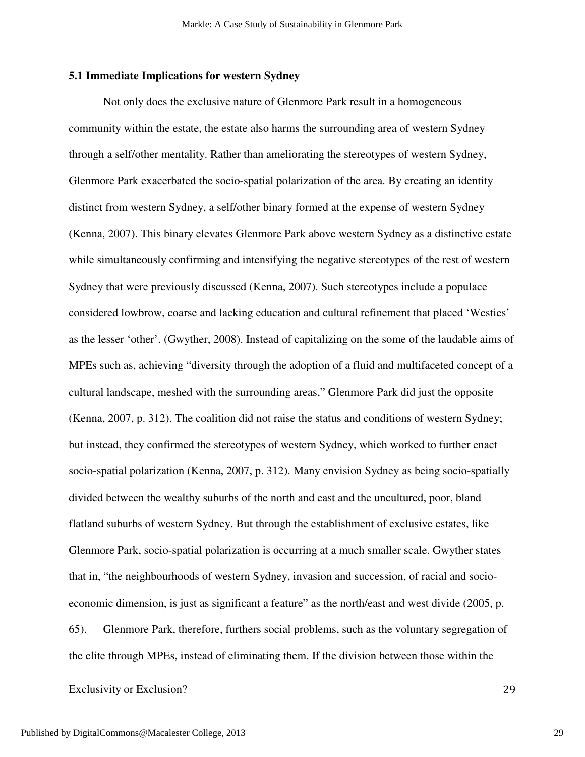# **5.1 Immediate Implications for western Sydney**

 Not only does the exclusive nature of Glenmore Park result in a homogeneous community within the estate, the estate also harms the surrounding area of western Sydney through a self/other mentality. Rather than ameliorating the stereotypes of western Sydney, Glenmore Park exacerbated the socio-spatial polarization of the area. By creating an identity distinct from western Sydney, a self/other binary formed at the expense of western Sydney (Kenna, 2007). This binary elevates Glenmore Park above western Sydney as a distinctive estate while simultaneously confirming and intensifying the negative stereotypes of the rest of western Sydney that were previously discussed (Kenna, 2007). Such stereotypes include a populace considered lowbrow, coarse and lacking education and cultural refinement that placed 'Westies' as the lesser 'other'. (Gwyther, 2008). Instead of capitalizing on the some of the laudable aims of MPEs such as, achieving "diversity through the adoption of a fluid and multifaceted concept of a cultural landscape, meshed with the surrounding areas," Glenmore Park did just the opposite (Kenna, 2007, p. 312). The coalition did not raise the status and conditions of western Sydney; but instead, they confirmed the stereotypes of western Sydney, which worked to further enact socio-spatial polarization (Kenna, 2007, p. 312). Many envision Sydney as being socio-spatially divided between the wealthy suburbs of the north and east and the uncultured, poor, bland flatland suburbs of western Sydney. But through the establishment of exclusive estates, like Glenmore Park, socio-spatial polarization is occurring at a much smaller scale. Gwyther states that in, "the neighbourhoods of western Sydney, invasion and succession, of racial and socioeconomic dimension, is just as significant a feature" as the north/east and west divide (2005, p. 65). Glenmore Park, therefore, furthers social problems, such as the voluntary segregation of the elite through MPEs, instead of eliminating them. If the division between those within the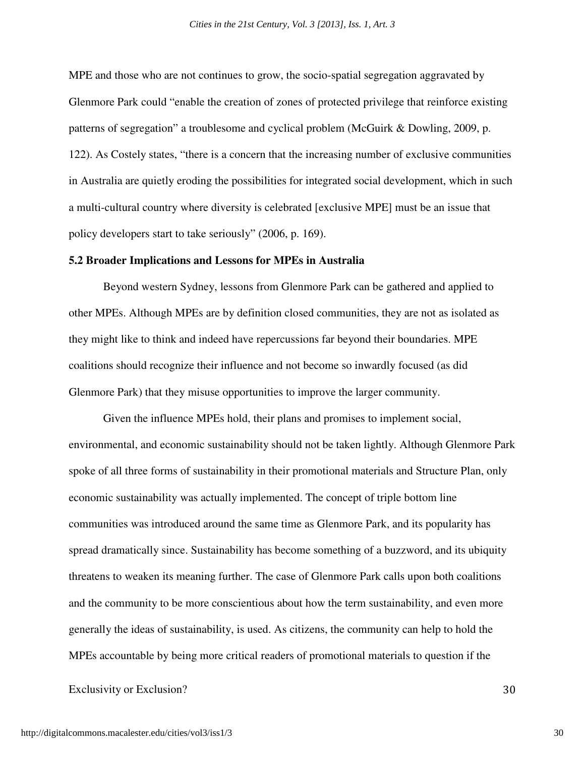MPE and those who are not continues to grow, the socio-spatial segregation aggravated by Glenmore Park could "enable the creation of zones of protected privilege that reinforce existing patterns of segregation" a troublesome and cyclical problem (McGuirk & Dowling, 2009, p. 122). As Costely states, "there is a concern that the increasing number of exclusive communities in Australia are quietly eroding the possibilities for integrated social development, which in such a multi-cultural country where diversity is celebrated [exclusive MPE] must be an issue that policy developers start to take seriously" (2006, p. 169).

#### **5.2 Broader Implications and Lessons for MPEs in Australia**

Beyond western Sydney, lessons from Glenmore Park can be gathered and applied to other MPEs. Although MPEs are by definition closed communities, they are not as isolated as they might like to think and indeed have repercussions far beyond their boundaries. MPE coalitions should recognize their influence and not become so inwardly focused (as did Glenmore Park) that they misuse opportunities to improve the larger community.

Given the influence MPEs hold, their plans and promises to implement social, environmental, and economic sustainability should not be taken lightly. Although Glenmore Park spoke of all three forms of sustainability in their promotional materials and Structure Plan, only economic sustainability was actually implemented. The concept of triple bottom line communities was introduced around the same time as Glenmore Park, and its popularity has spread dramatically since. Sustainability has become something of a buzzword, and its ubiquity threatens to weaken its meaning further. The case of Glenmore Park calls upon both coalitions and the community to be more conscientious about how the term sustainability, and even more generally the ideas of sustainability, is used. As citizens, the community can help to hold the MPEs accountable by being more critical readers of promotional materials to question if the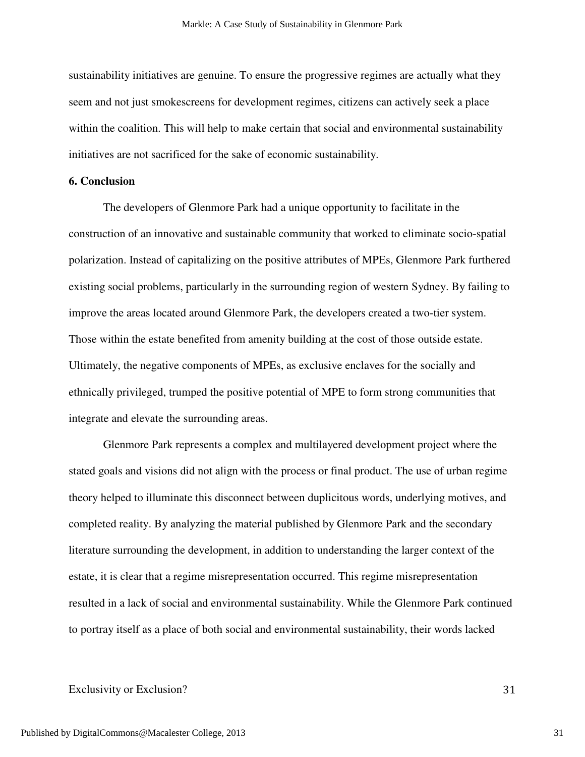sustainability initiatives are genuine. To ensure the progressive regimes are actually what they seem and not just smokescreens for development regimes, citizens can actively seek a place within the coalition. This will help to make certain that social and environmental sustainability initiatives are not sacrificed for the sake of economic sustainability.

# **6. Conclusion**

The developers of Glenmore Park had a unique opportunity to facilitate in the construction of an innovative and sustainable community that worked to eliminate socio-spatial polarization. Instead of capitalizing on the positive attributes of MPEs, Glenmore Park furthered existing social problems, particularly in the surrounding region of western Sydney. By failing to improve the areas located around Glenmore Park, the developers created a two-tier system. Those within the estate benefited from amenity building at the cost of those outside estate. Ultimately, the negative components of MPEs, as exclusive enclaves for the socially and ethnically privileged, trumped the positive potential of MPE to form strong communities that integrate and elevate the surrounding areas.

Glenmore Park represents a complex and multilayered development project where the stated goals and visions did not align with the process or final product. The use of urban regime theory helped to illuminate this disconnect between duplicitous words, underlying motives, and completed reality. By analyzing the material published by Glenmore Park and the secondary literature surrounding the development, in addition to understanding the larger context of the estate, it is clear that a regime misrepresentation occurred. This regime misrepresentation resulted in a lack of social and environmental sustainability. While the Glenmore Park continued to portray itself as a place of both social and environmental sustainability, their words lacked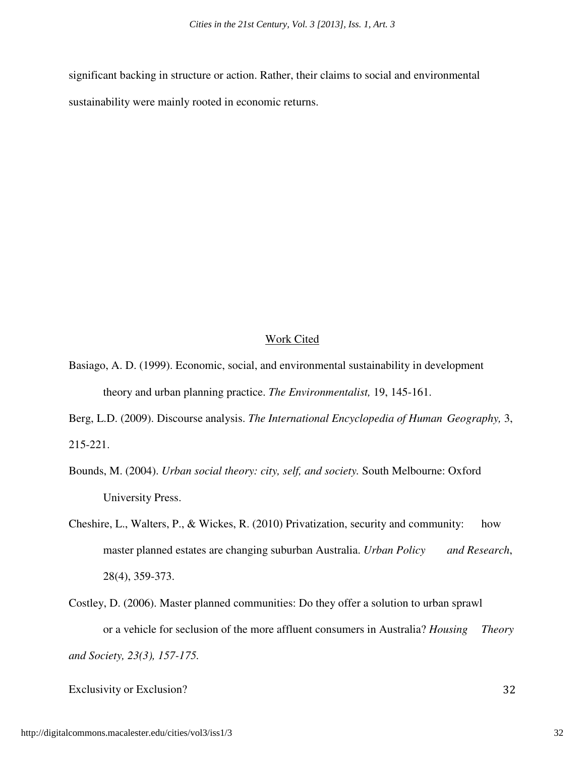significant backing in structure or action. Rather, their claims to social and environmental sustainability were mainly rooted in economic returns.

# Work Cited

- Basiago, A. D. (1999). Economic, social, and environmental sustainability in development theory and urban planning practice. *The Environmentalist,* 19, 145-161.
- Berg, L.D. (2009). Discourse analysis. *The International Encyclopedia of Human Geography,* 3, 215-221.
- Bounds, M. (2004). *Urban social theory: city, self, and society.* South Melbourne: Oxford University Press.
- Cheshire, L., Walters, P., & Wickes, R. (2010) Privatization, security and community: how master planned estates are changing suburban Australia. *Urban Policy and Research*, 28(4), 359-373.
- Costley, D. (2006). Master planned communities: Do they offer a solution to urban sprawl or a vehicle for seclusion of the more affluent consumers in Australia? *Housing Theory and Society, 23(3), 157-175.*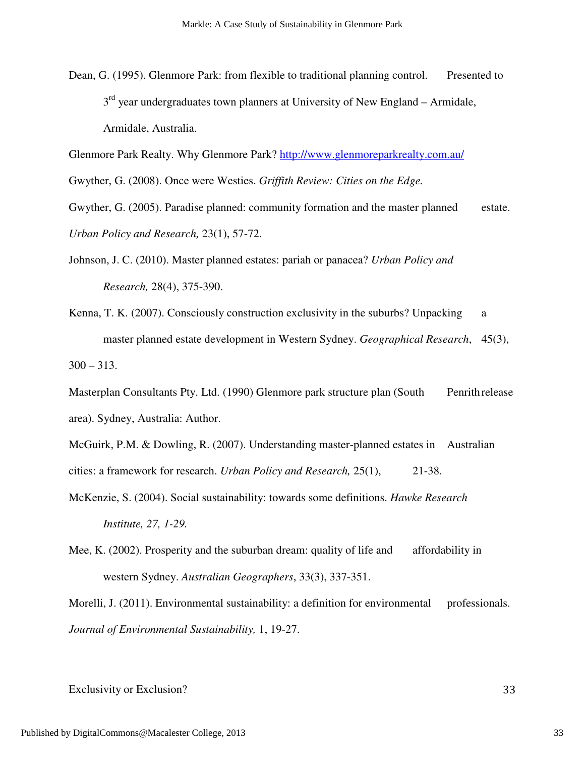Dean, G. (1995). Glenmore Park: from flexible to traditional planning control. Presented to  $3<sup>rd</sup>$  year undergraduates town planners at University of New England – Armidale, Armidale, Australia.

Glenmore Park Realty. Why Glenmore Park? http://www.glenmoreparkrealty.com.au/

Gwyther, G. (2008). Once were Westies. *Griffith Review: Cities on the Edge.* 

Gwyther, G. (2005). Paradise planned: community formation and the master planned estate. *Urban Policy and Research,* 23(1), 57-72.

- Johnson, J. C. (2010). Master planned estates: pariah or panacea? *Urban Policy and Research,* 28(4), 375-390.
- Kenna, T. K. (2007). Consciously construction exclusivity in the suburbs? Unpacking a master planned estate development in Western Sydney. *Geographical Research*, 45(3),  $300 - 313$ .

Masterplan Consultants Pty. Ltd. (1990) Glenmore park structure plan (South Penrith release area). Sydney, Australia: Author.

McGuirk, P.M. & Dowling, R. (2007). Understanding master-planned estates in Australian cities: a framework for research. *Urban Policy and Research,* 25(1), 21-38.

- McKenzie, S. (2004). Social sustainability: towards some definitions. *Hawke Research Institute, 27, 1-29.*
- Mee, K. (2002). Prosperity and the suburban dream: quality of life and affordability in western Sydney. *Australian Geographers*, 33(3), 337-351.

Morelli, J. (2011). Environmental sustainability: a definition for environmental professionals. *Journal of Environmental Sustainability,* 1, 19-27.